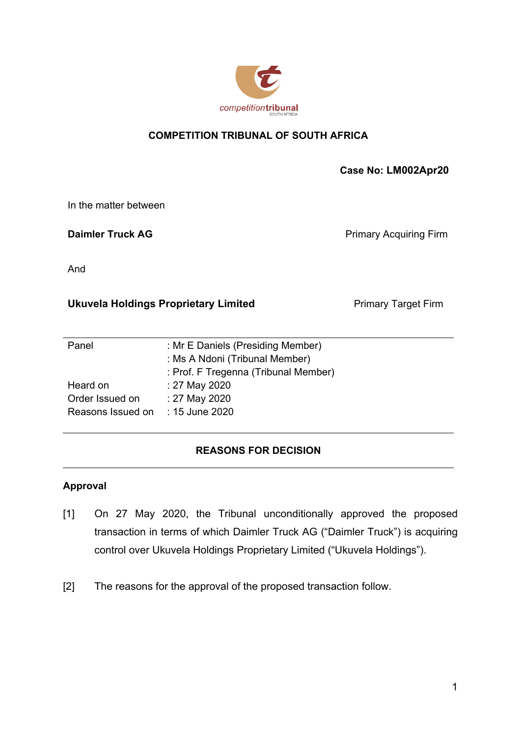

# **COMPETITION TRIBUNAL OF SOUTH AFRICA**

 **Case No: LM002Apr20** 

In the matter between

**Daimler Truck AG Primary Acquiring Firm** 

And

## **Ukuvela Holdings Proprietary Limited Fig. 20. Primary Target Firm Primary Target Firm**

| Panel                            | : Mr E Daniels (Presiding Member)    |
|----------------------------------|--------------------------------------|
|                                  | : Ms A Ndoni (Tribunal Member)       |
|                                  | : Prof. F Tregenna (Tribunal Member) |
| Heard on                         | : 27 May 2020                        |
| Order Issued on                  | : 27 May 2020                        |
| Reasons Issued on : 15 June 2020 |                                      |
|                                  |                                      |

# **REASONS FOR DECISION**

#### **Approval**

- [1] On 27 May 2020, the Tribunal unconditionally approved the proposed transaction in terms of which Daimler Truck AG ("Daimler Truck") is acquiring control over Ukuvela Holdings Proprietary Limited ("Ukuvela Holdings").
- [2] The reasons for the approval of the proposed transaction follow.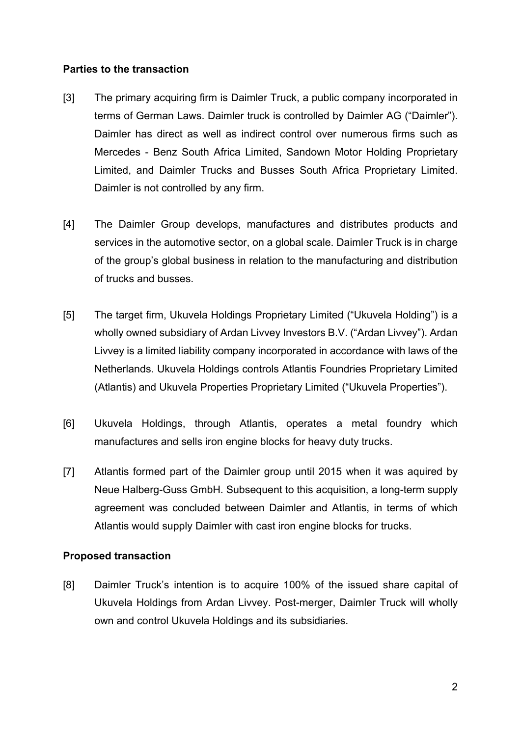#### **Parties to the transaction**

- [3] The primary acquiring firm is Daimler Truck, a public company incorporated in terms of German Laws. Daimler truck is controlled by Daimler AG ("Daimler"). Daimler has direct as well as indirect control over numerous firms such as Mercedes - Benz South Africa Limited, Sandown Motor Holding Proprietary Limited, and Daimler Trucks and Busses South Africa Proprietary Limited. Daimler is not controlled by any firm.
- [4] The Daimler Group develops, manufactures and distributes products and services in the automotive sector, on a global scale. Daimler Truck is in charge of the group's global business in relation to the manufacturing and distribution of trucks and busses.
- [5] The target firm, Ukuvela Holdings Proprietary Limited ("Ukuvela Holding") is a wholly owned subsidiary of Ardan Livvey Investors B.V. ("Ardan Livvey"). Ardan Livvey is a limited liability company incorporated in accordance with laws of the Netherlands. Ukuvela Holdings controls Atlantis Foundries Proprietary Limited (Atlantis) and Ukuvela Properties Proprietary Limited ("Ukuvela Properties").
- [6] Ukuvela Holdings, through Atlantis, operates a metal foundry which manufactures and sells iron engine blocks for heavy duty trucks.
- [7] Atlantis formed part of the Daimler group until 2015 when it was aquired by Neue Halberg-Guss GmbH. Subsequent to this acquisition, a long-term supply agreement was concluded between Daimler and Atlantis, in terms of which Atlantis would supply Daimler with cast iron engine blocks for trucks.

## **Proposed transaction**

[8] Daimler Truck's intention is to acquire 100% of the issued share capital of Ukuvela Holdings from Ardan Livvey. Post-merger, Daimler Truck will wholly own and control Ukuvela Holdings and its subsidiaries.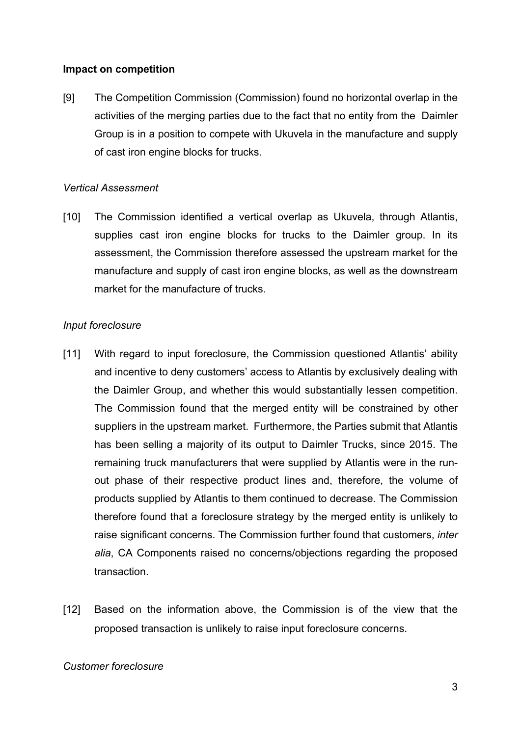### **Impact on competition**

[9] The Competition Commission (Commission) found no horizontal overlap in the activities of the merging parties due to the fact that no entity from the Daimler Group is in a position to compete with Ukuvela in the manufacture and supply of cast iron engine blocks for trucks.

### *Vertical Assessment*

[10] The Commission identified a vertical overlap as Ukuvela, through Atlantis, supplies cast iron engine blocks for trucks to the Daimler group. In its assessment, the Commission therefore assessed the upstream market for the manufacture and supply of cast iron engine blocks, as well as the downstream market for the manufacture of trucks.

### *Input foreclosure*

- [11] With regard to input foreclosure, the Commission questioned Atlantis' ability and incentive to deny customers' access to Atlantis by exclusively dealing with the Daimler Group, and whether this would substantially lessen competition. The Commission found that the merged entity will be constrained by other suppliers in the upstream market. Furthermore, the Parties submit that Atlantis has been selling a majority of its output to Daimler Trucks, since 2015. The remaining truck manufacturers that were supplied by Atlantis were in the runout phase of their respective product lines and, therefore, the volume of products supplied by Atlantis to them continued to decrease. The Commission therefore found that a foreclosure strategy by the merged entity is unlikely to raise significant concerns. The Commission further found that customers, *inter alia*, CA Components raised no concerns/objections regarding the proposed transaction.
- [12] Based on the information above, the Commission is of the view that the proposed transaction is unlikely to raise input foreclosure concerns.

#### *Customer foreclosure*